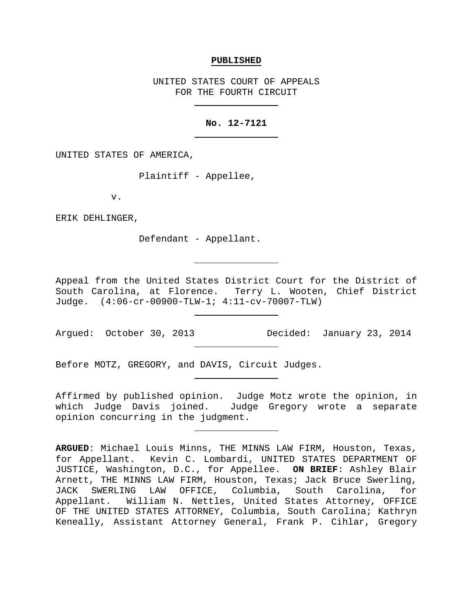#### **PUBLISHED**

UNITED STATES COURT OF APPEALS FOR THE FOURTH CIRCUIT

# **No. 12-7121**

UNITED STATES OF AMERICA,

Plaintiff - Appellee,

v.

ERIK DEHLINGER,

Defendant - Appellant.

Appeal from the United States District Court for the District of South Carolina, at Florence. Terry L. Wooten, Chief District Judge. (4:06-cr-00900-TLW-1; 4:11-cv-70007-TLW)

Argued: October 30, 2013 Decided: January 23, 2014

Before MOTZ, GREGORY, and DAVIS, Circuit Judges.

Affirmed by published opinion. Judge Motz wrote the opinion, in which Judge Davis joined. Judge Gregory wrote a separate opinion concurring in the judgment.

**ARGUED**: Michael Louis Minns, THE MINNS LAW FIRM, Houston, Texas, for Appellant. Kevin C. Lombardi, UNITED STATES DEPARTMENT OF JUSTICE, Washington, D.C., for Appellee. **ON BRIEF**: Ashley Blair Arnett, THE MINNS LAW FIRM, Houston, Texas; Jack Bruce Swerling, JACK SWERLING LAW OFFICE, Columbia, South Carolina, for William N. Nettles, United States Attorney, OFFICE OF THE UNITED STATES ATTORNEY, Columbia, South Carolina; Kathryn Keneally, Assistant Attorney General, Frank P. Cihlar, Gregory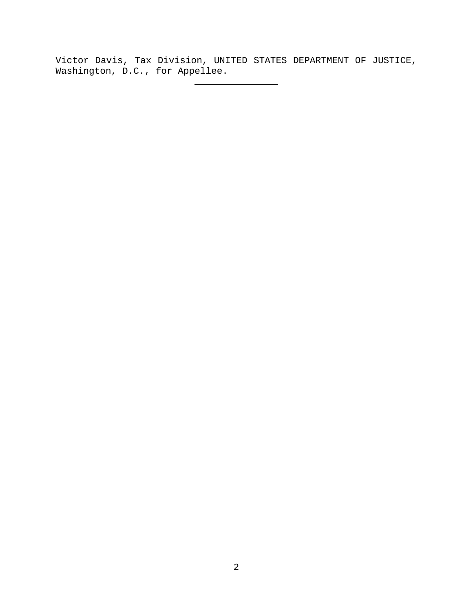Victor Davis, Tax Division, UNITED STATES DEPARTMENT OF JUSTICE, Washington, D.C., for Appellee.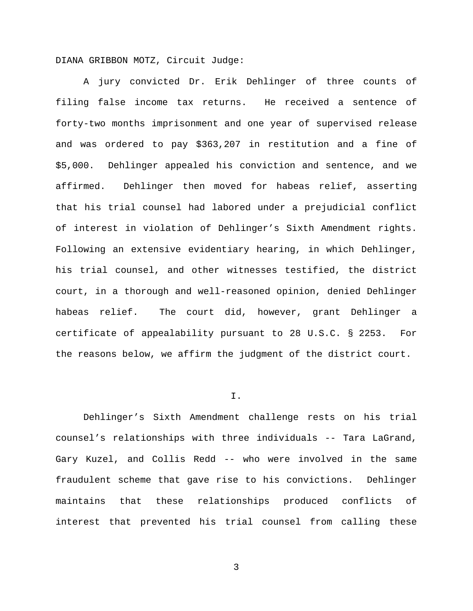DIANA GRIBBON MOTZ, Circuit Judge:

A jury convicted Dr. Erik Dehlinger of three counts of filing false income tax returns. He received a sentence of forty-two months imprisonment and one year of supervised release and was ordered to pay \$363,207 in restitution and a fine of \$5,000. Dehlinger appealed his conviction and sentence, and we affirmed. Dehlinger then moved for habeas relief, asserting that his trial counsel had labored under a prejudicial conflict of interest in violation of Dehlinger's Sixth Amendment rights. Following an extensive evidentiary hearing, in which Dehlinger, his trial counsel, and other witnesses testified, the district court, in a thorough and well-reasoned opinion, denied Dehlinger habeas relief. The court did, however, grant Dehlinger a certificate of appealability pursuant to 28 U.S.C. § 2253. For the reasons below, we affirm the judgment of the district court.

### I.

Dehlinger's Sixth Amendment challenge rests on his trial counsel's relationships with three individuals -- Tara LaGrand, Gary Kuzel, and Collis Redd -- who were involved in the same fraudulent scheme that gave rise to his convictions. Dehlinger maintains that these relationships produced conflicts of interest that prevented his trial counsel from calling these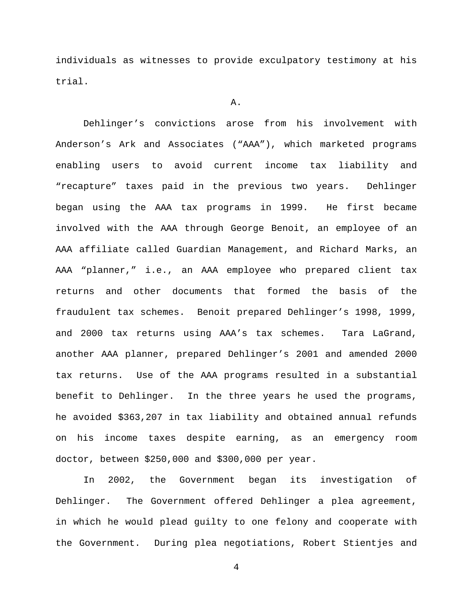individuals as witnesses to provide exculpatory testimony at his trial.

#### A.

Dehlinger's convictions arose from his involvement with Anderson's Ark and Associates ("AAA"), which marketed programs enabling users to avoid current income tax liability and "recapture" taxes paid in the previous two years. Dehlinger began using the AAA tax programs in 1999. He first became involved with the AAA through George Benoit, an employee of an AAA affiliate called Guardian Management, and Richard Marks, an AAA "planner," i.e., an AAA employee who prepared client tax returns and other documents that formed the basis of the fraudulent tax schemes. Benoit prepared Dehlinger's 1998, 1999, and 2000 tax returns using AAA's tax schemes. Tara LaGrand, another AAA planner, prepared Dehlinger's 2001 and amended 2000 tax returns. Use of the AAA programs resulted in a substantial benefit to Dehlinger. In the three years he used the programs, he avoided \$363,207 in tax liability and obtained annual refunds on his income taxes despite earning, as an emergency room doctor, between \$250,000 and \$300,000 per year.

In 2002, the Government began its investigation of Dehlinger. The Government offered Dehlinger a plea agreement, in which he would plead guilty to one felony and cooperate with the Government. During plea negotiations, Robert Stientjes and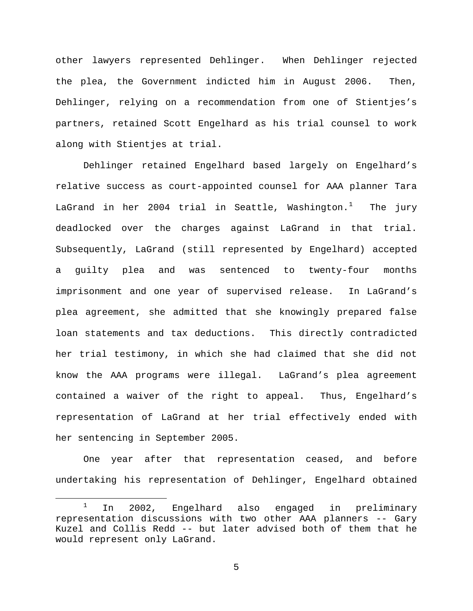other lawyers represented Dehlinger. When Dehlinger rejected the plea, the Government indicted him in August 2006. Then, Dehlinger, relying on a recommendation from one of Stientjes's partners, retained Scott Engelhard as his trial counsel to work along with Stientjes at trial.

Dehlinger retained Engelhard based largely on Engelhard's relative success as court-appointed counsel for AAA planner Tara LaGrand in her 2004 trial in Seattle, Washington. $^1$  $^1$  The jury deadlocked over the charges against LaGrand in that trial. Subsequently, LaGrand (still represented by Engelhard) accepted a guilty plea and was sentenced to twenty-four months imprisonment and one year of supervised release. In LaGrand's plea agreement, she admitted that she knowingly prepared false loan statements and tax deductions. This directly contradicted her trial testimony, in which she had claimed that she did not know the AAA programs were illegal. LaGrand's plea agreement contained a waiver of the right to appeal. Thus, Engelhard's representation of LaGrand at her trial effectively ended with her sentencing in September 2005.

One year after that representation ceased, and before undertaking his representation of Dehlinger, Engelhard obtained

<span id="page-4-0"></span><sup>&</sup>lt;sup>1</sup> In 2002, Engelhard also engaged in preliminary representation discussions with two other AAA planners -- Gary Kuzel and Collis Redd -- but later advised both of them that he would represent only LaGrand.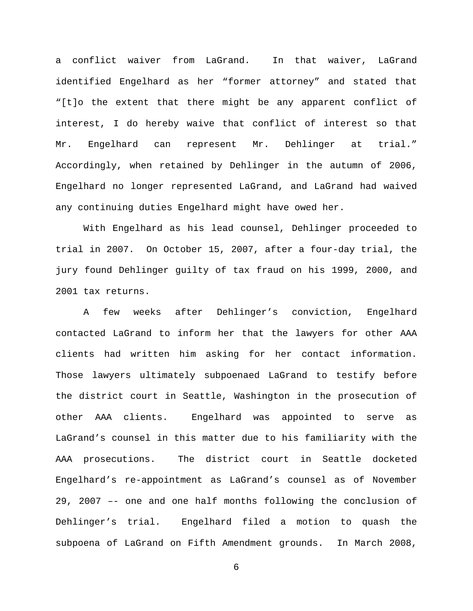a conflict waiver from LaGrand. In that waiver, LaGrand identified Engelhard as her "former attorney" and stated that "[t]o the extent that there might be any apparent conflict of interest, I do hereby waive that conflict of interest so that Mr. Engelhard can represent Mr. Dehlinger at trial." Accordingly, when retained by Dehlinger in the autumn of 2006, Engelhard no longer represented LaGrand, and LaGrand had waived any continuing duties Engelhard might have owed her.

With Engelhard as his lead counsel, Dehlinger proceeded to trial in 2007. On October 15, 2007, after a four-day trial, the jury found Dehlinger guilty of tax fraud on his 1999, 2000, and 2001 tax returns.

A few weeks after Dehlinger's conviction, Engelhard contacted LaGrand to inform her that the lawyers for other AAA clients had written him asking for her contact information. Those lawyers ultimately subpoenaed LaGrand to testify before the district court in Seattle, Washington in the prosecution of other AAA clients. Engelhard was appointed to serve as LaGrand's counsel in this matter due to his familiarity with the AAA prosecutions. The district court in Seattle docketed Engelhard's re-appointment as LaGrand's counsel as of November 29, 2007 –- one and one half months following the conclusion of Dehlinger's trial. Engelhard filed a motion to quash the subpoena of LaGrand on Fifth Amendment grounds. In March 2008,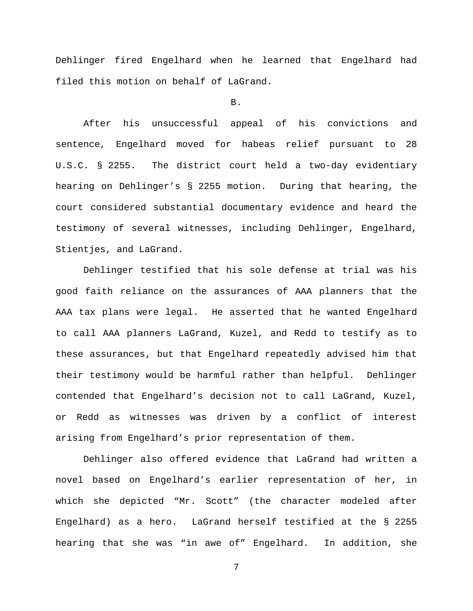Dehlinger fired Engelhard when he learned that Engelhard had filed this motion on behalf of LaGrand.

# B.

After his unsuccessful appeal of his convictions and sentence, Engelhard moved for habeas relief pursuant to 28 U.S.C. § 2255. The district court held a two-day evidentiary hearing on Dehlinger's § 2255 motion. During that hearing, the court considered substantial documentary evidence and heard the testimony of several witnesses, including Dehlinger, Engelhard, Stientjes, and LaGrand.

Dehlinger testified that his sole defense at trial was his good faith reliance on the assurances of AAA planners that the AAA tax plans were legal. He asserted that he wanted Engelhard to call AAA planners LaGrand, Kuzel, and Redd to testify as to these assurances, but that Engelhard repeatedly advised him that their testimony would be harmful rather than helpful. Dehlinger contended that Engelhard's decision not to call LaGrand, Kuzel, or Redd as witnesses was driven by a conflict of interest arising from Engelhard's prior representation of them.

Dehlinger also offered evidence that LaGrand had written a novel based on Engelhard's earlier representation of her, in which she depicted "Mr. Scott" (the character modeled after Engelhard) as a hero. LaGrand herself testified at the § 2255 hearing that she was "in awe of" Engelhard. In addition, she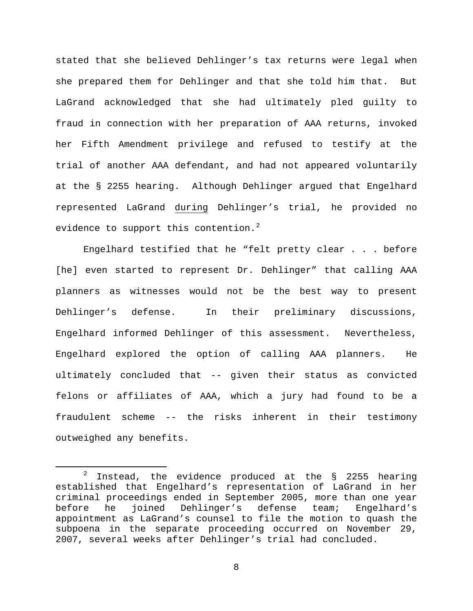stated that she believed Dehlinger's tax returns were legal when she prepared them for Dehlinger and that she told him that. But LaGrand acknowledged that she had ultimately pled guilty to fraud in connection with her preparation of AAA returns, invoked her Fifth Amendment privilege and refused to testify at the trial of another AAA defendant, and had not appeared voluntarily at the § 2255 hearing. Although Dehlinger argued that Engelhard represented LaGrand during Dehlinger's trial, he provided no evidence to support this contention. $2$ 

Engelhard testified that he "felt pretty clear . . . before [he] even started to represent Dr. Dehlinger" that calling AAA planners as witnesses would not be the best way to present Dehlinger's defense. In their preliminary discussions, Engelhard informed Dehlinger of this assessment. Nevertheless, Engelhard explored the option of calling AAA planners. He ultimately concluded that -- given their status as convicted felons or affiliates of AAA, which a jury had found to be a fraudulent scheme -- the risks inherent in their testimony outweighed any benefits.

<span id="page-7-0"></span> $2$  Instead, the evidence produced at the  $8$  2255 hearing established that Engelhard's representation of LaGrand in her criminal proceedings ended in September 2005, more than one year<br>before he joined Dehlinger's defense team; Engelhard's joined Dehlinger's defense team; Engelhard's appointment as LaGrand's counsel to file the motion to quash the subpoena in the separate proceeding occurred on November 29, 2007, several weeks after Dehlinger's trial had concluded.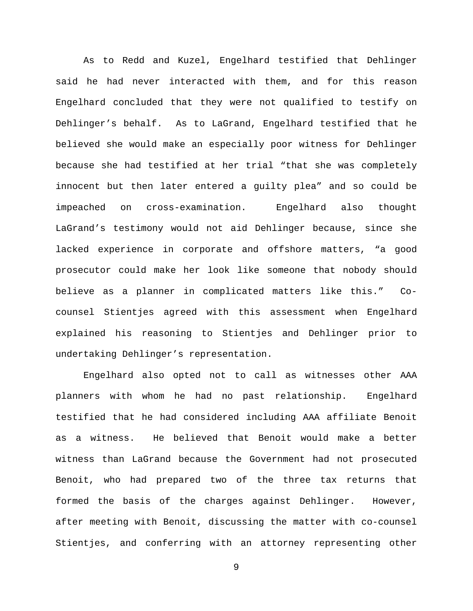As to Redd and Kuzel, Engelhard testified that Dehlinger said he had never interacted with them, and for this reason Engelhard concluded that they were not qualified to testify on Dehlinger's behalf. As to LaGrand, Engelhard testified that he believed she would make an especially poor witness for Dehlinger because she had testified at her trial "that she was completely innocent but then later entered a guilty plea" and so could be impeached on cross-examination. Engelhard also thought LaGrand's testimony would not aid Dehlinger because, since she lacked experience in corporate and offshore matters, "a good prosecutor could make her look like someone that nobody should believe as a planner in complicated matters like this." Cocounsel Stientjes agreed with this assessment when Engelhard explained his reasoning to Stientjes and Dehlinger prior to undertaking Dehlinger's representation.

Engelhard also opted not to call as witnesses other AAA planners with whom he had no past relationship. Engelhard testified that he had considered including AAA affiliate Benoit as a witness. He believed that Benoit would make a better witness than LaGrand because the Government had not prosecuted Benoit, who had prepared two of the three tax returns that formed the basis of the charges against Dehlinger. However, after meeting with Benoit, discussing the matter with co-counsel Stientjes, and conferring with an attorney representing other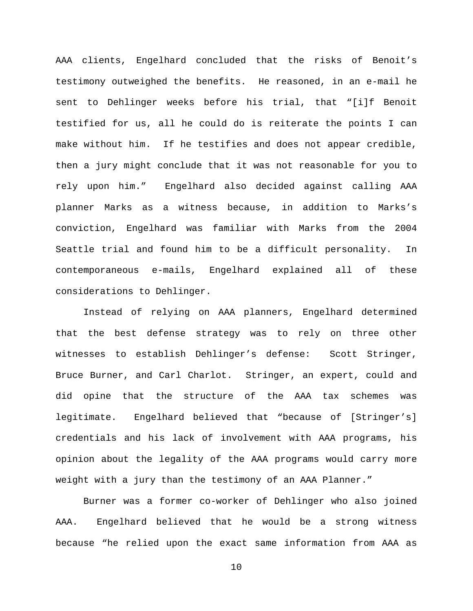AAA clients, Engelhard concluded that the risks of Benoit's testimony outweighed the benefits. He reasoned, in an e-mail he sent to Dehlinger weeks before his trial, that "[i]f Benoit testified for us, all he could do is reiterate the points I can make without him. If he testifies and does not appear credible, then a jury might conclude that it was not reasonable for you to rely upon him." Engelhard also decided against calling AAA planner Marks as a witness because, in addition to Marks's conviction, Engelhard was familiar with Marks from the 2004 Seattle trial and found him to be a difficult personality. In contemporaneous e-mails, Engelhard explained all of these considerations to Dehlinger.

Instead of relying on AAA planners, Engelhard determined that the best defense strategy was to rely on three other witnesses to establish Dehlinger's defense: Scott Stringer, Bruce Burner, and Carl Charlot. Stringer, an expert, could and did opine that the structure of the AAA tax schemes was legitimate. Engelhard believed that "because of [Stringer's] credentials and his lack of involvement with AAA programs, his opinion about the legality of the AAA programs would carry more weight with a jury than the testimony of an AAA Planner."

Burner was a former co-worker of Dehlinger who also joined AAA. Engelhard believed that he would be a strong witness because "he relied upon the exact same information from AAA as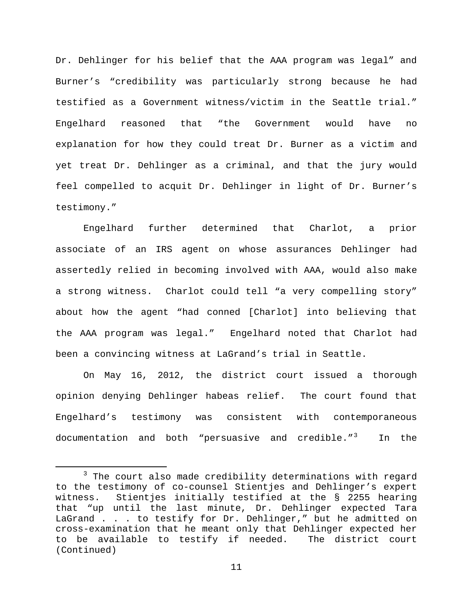Dr. Dehlinger for his belief that the AAA program was legal" and Burner's "credibility was particularly strong because he had testified as a Government witness/victim in the Seattle trial." Engelhard reasoned that "the Government would have no explanation for how they could treat Dr. Burner as a victim and yet treat Dr. Dehlinger as a criminal, and that the jury would feel compelled to acquit Dr. Dehlinger in light of Dr. Burner's testimony."

Engelhard further determined that Charlot, a prior associate of an IRS agent on whose assurances Dehlinger had assertedly relied in becoming involved with AAA, would also make a strong witness. Charlot could tell "a very compelling story" about how the agent "had conned [Charlot] into believing that the AAA program was legal." Engelhard noted that Charlot had been a convincing witness at LaGrand's trial in Seattle.

On May 16, 2012, the district court issued a thorough opinion denying Dehlinger habeas relief. The court found that Engelhard's testimony was consistent with contemporaneous documentation and both "persuasive and credible."[3](#page-10-0) In the

<span id="page-10-0"></span> $3$  The court also made credibility determinations with regard to the testimony of co-counsel Stientjes and Dehlinger's expert witness. Stientjes initially testified at the § 2255 hearing that "up until the last minute, Dr. Dehlinger expected Tara LaGrand . . . to testify for Dr. Dehlinger," but he admitted on cross-examination that he meant only that Dehlinger expected her to be available to testify if needed. The district court (Continued)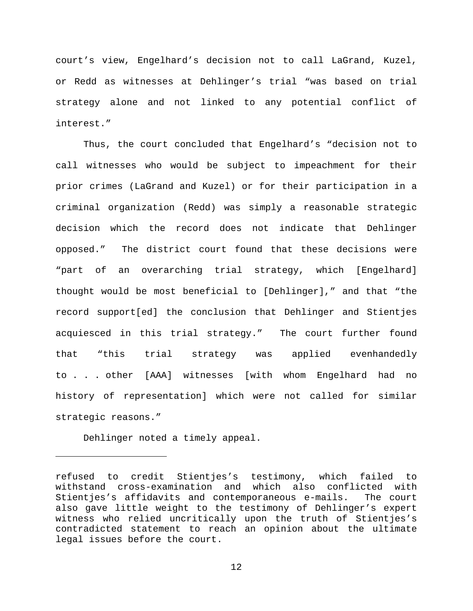court's view, Engelhard's decision not to call LaGrand, Kuzel, or Redd as witnesses at Dehlinger's trial "was based on trial strategy alone and not linked to any potential conflict of interest."

Thus, the court concluded that Engelhard's "decision not to call witnesses who would be subject to impeachment for their prior crimes (LaGrand and Kuzel) or for their participation in a criminal organization (Redd) was simply a reasonable strategic decision which the record does not indicate that Dehlinger opposed." The district court found that these decisions were "part of an overarching trial strategy, which [Engelhard] thought would be most beneficial to [Dehlinger]," and that "the record support[ed] the conclusion that Dehlinger and Stientjes acquiesced in this trial strategy." The court further found that "this trial strategy was applied evenhandedly to . . . other [AAA] witnesses [with whom Engelhard had no history of representation] which were not called for similar strategic reasons."

Dehlinger noted a timely appeal.

Ĩ.

refused to credit Stientjes's testimony, which failed to withstand cross-examination and which also conflicted with<br>Stienties's affidavits and contemporaneous e-mails. The court Stientjes's affidavits and contemporaneous e-mails. also gave little weight to the testimony of Dehlinger's expert witness who relied uncritically upon the truth of Stientjes's contradicted statement to reach an opinion about the ultimate legal issues before the court.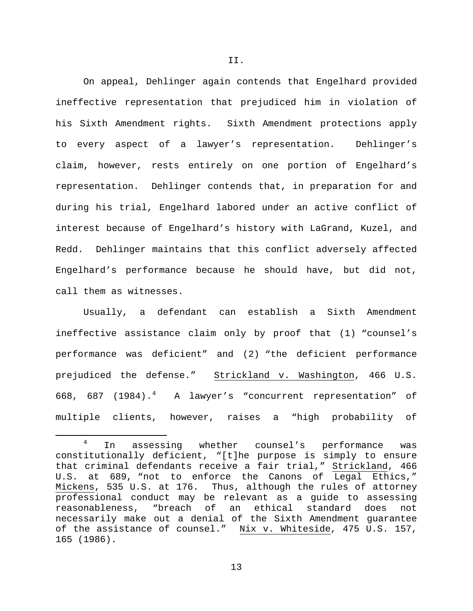On appeal, Dehlinger again contends that Engelhard provided ineffective representation that prejudiced him in violation of his Sixth Amendment rights. Sixth Amendment protections apply to every aspect of a lawyer's representation. Dehlinger's claim, however, rests entirely on one portion of Engelhard's representation. Dehlinger contends that, in preparation for and during his trial, Engelhard labored under an active conflict of interest because of Engelhard's history with LaGrand, Kuzel, and Redd. Dehlinger maintains that this conflict adversely affected Engelhard's performance because he should have, but did not, call them as witnesses.

Usually, a defendant can establish a Sixth Amendment ineffective assistance claim only by proof that (1) "counsel's performance was deficient" and (2) "the deficient performance prejudiced the defense." Strickland v. Washington, 466 U.S. 668, 687 (198[4](#page-12-0)).<sup>4</sup> A lawyer's "concurrent representation" of multiple clients, however, raises a "high probability of

II.

<span id="page-12-0"></span><sup>&</sup>lt;sup>4</sup> In assessing whether counsel's performance was constitutionally deficient, "[t]he purpose is simply to ensure that criminal defendants receive a fair trial," Strickland, 466 U.S. at 689, "not to enforce the Canons of Legal Ethics," Mickens, 535 U.S. at 176. Thus, although the rules of attorney professional conduct may be relevant as a guide to assessing reasonableness, "breach of an ethical standard does not necessarily make out a denial of the Sixth Amendment guarantee of the assistance of counsel." Nix v. Whiteside, 475 U.S. 157, 165 (1986).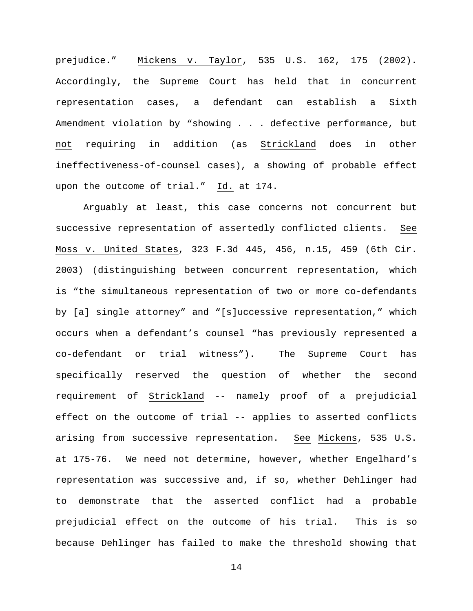prejudice." Mickens v. Taylor, 535 U.S. 162, 175 (2002). Accordingly, the Supreme Court has held that in concurrent representation cases, a defendant can establish a Sixth Amendment violation by "showing . . . defective performance, but not requiring in addition (as Strickland does in other ineffectiveness-of-counsel cases), a showing of probable effect upon the outcome of trial." Id. at 174.

Arguably at least, this case concerns not concurrent but successive representation of assertedly conflicted clients. See Moss v. United States, 323 F.3d 445, 456, n.15, 459 (6th Cir. 2003) (distinguishing between concurrent representation, which is "the simultaneous representation of two or more co-defendants by [a] single attorney" and "[s]uccessive representation," which occurs when a defendant's counsel "has previously represented a co-defendant or trial witness"). The Supreme Court has specifically reserved the question of whether the second requirement of Strickland -- namely proof of a prejudicial effect on the outcome of trial -- applies to asserted conflicts arising from successive representation. See Mickens, 535 U.S. at 175-76. We need not determine, however, whether Engelhard's representation was successive and, if so, whether Dehlinger had to demonstrate that the asserted conflict had a probable prejudicial effect on the outcome of his trial. This is so because Dehlinger has failed to make the threshold showing that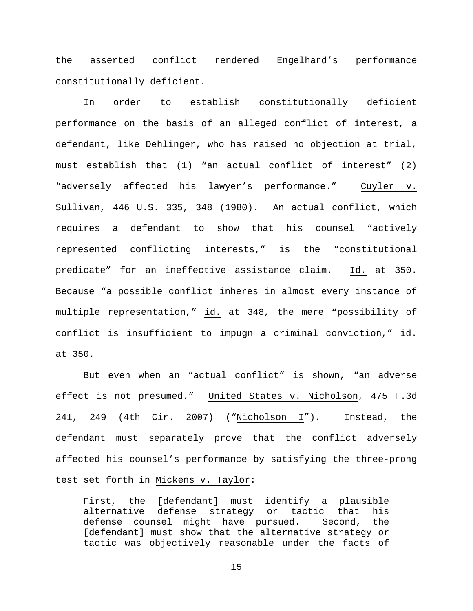the asserted conflict rendered Engelhard's performance constitutionally deficient.

In order to establish constitutionally deficient performance on the basis of an alleged conflict of interest, a defendant, like Dehlinger, who has raised no objection at trial, must establish that (1) "an actual conflict of interest" (2) "adversely affected his lawyer's performance." Cuyler v. Sullivan, 446 U.S. 335, 348 (1980). An actual conflict, which requires a defendant to show that his counsel "actively represented conflicting interests," is the "constitutional predicate" for an ineffective assistance claim. Id. at 350. Because "a possible conflict inheres in almost every instance of multiple representation," id. at 348, the mere "possibility of conflict is insufficient to impugn a criminal conviction," id. at 350.

But even when an "actual conflict" is shown, "an adverse effect is not presumed." United States v. Nicholson, 475 F.3d 241, 249 (4th Cir. 2007) ("Nicholson I"). Instead, the defendant must separately prove that the conflict adversely affected his counsel's performance by satisfying the three-prong test set forth in Mickens v. Taylor:

First, the [defendant] must identify a plausible alternative defense strategy or tactic that his defense counsel might have pursued. Second, the [defendant] must show that the alternative strategy or tactic was objectively reasonable under the facts of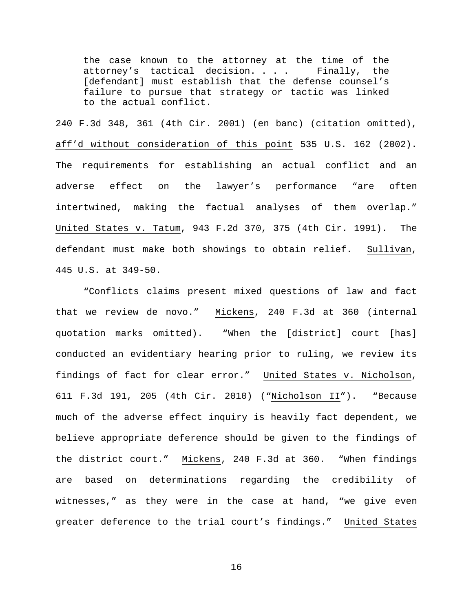the case known to the attorney at the time of the attorney's tactical decision. . . . Finally, the [defendant] must establish that the defense counsel's failure to pursue that strategy or tactic was linked to the actual conflict.

240 F.3d 348, 361 (4th Cir. 2001) (en banc) (citation omitted), aff'd without consideration of this point 535 U.S. 162 (2002). The requirements for establishing an actual conflict and an adverse effect on the lawyer's performance "are often intertwined, making the factual analyses of them overlap." United States v. Tatum, 943 F.2d 370, 375 (4th Cir. 1991). The defendant must make both showings to obtain relief. Sullivan, 445 U.S. at 349-50.

"Conflicts claims present mixed questions of law and fact that we review de novo." Mickens, 240 F.3d at 360 (internal quotation marks omitted). "When the [district] court [has] conducted an evidentiary hearing prior to ruling, we review its findings of fact for clear error." United States v. Nicholson, 611 F.3d 191, 205 (4th Cir. 2010) ("Nicholson II"). "Because much of the adverse effect inquiry is heavily fact dependent, we believe appropriate deference should be given to the findings of the district court." Mickens, 240 F.3d at 360. "When findings are based on determinations regarding the credibility of witnesses," as they were in the case at hand, "we give even greater deference to the trial court's findings." United States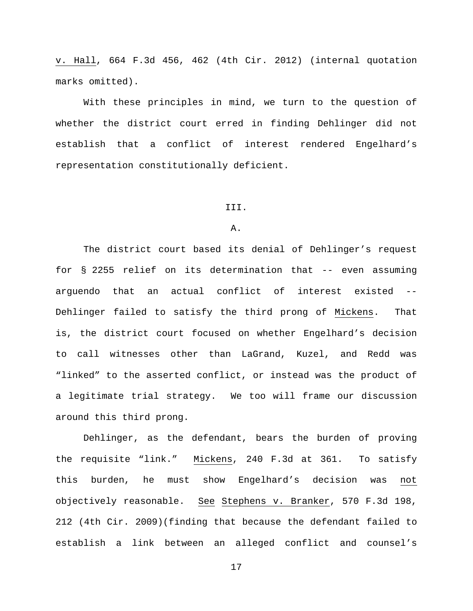v. Hall, 664 F.3d 456, 462 (4th Cir. 2012) (internal quotation marks omitted).

With these principles in mind, we turn to the question of whether the district court erred in finding Dehlinger did not establish that a conflict of interest rendered Engelhard's representation constitutionally deficient.

# III.

# A.

The district court based its denial of Dehlinger's request for § 2255 relief on its determination that -- even assuming arguendo that an actual conflict of interest existed -- Dehlinger failed to satisfy the third prong of Mickens. That is, the district court focused on whether Engelhard's decision to call witnesses other than LaGrand, Kuzel, and Redd was "linked" to the asserted conflict, or instead was the product of a legitimate trial strategy. We too will frame our discussion around this third prong.

Dehlinger, as the defendant, bears the burden of proving the requisite "link." Mickens, 240 F.3d at 361. To satisfy this burden, he must show Engelhard's decision was not objectively reasonable. See Stephens v. Branker, 570 F.3d 198, 212 (4th Cir. 2009)(finding that because the defendant failed to establish a link between an alleged conflict and counsel's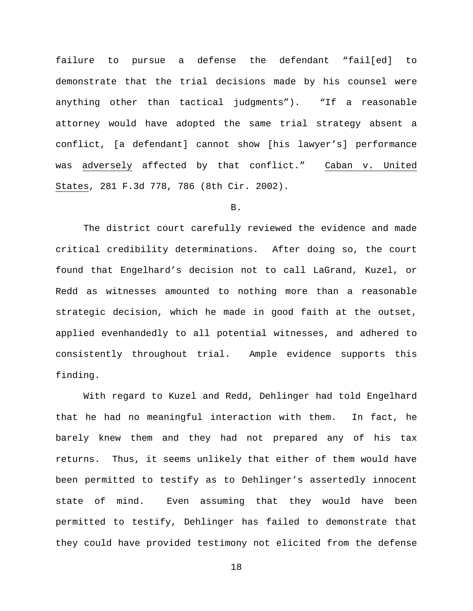failure to pursue a defense the defendant "fail[ed] to demonstrate that the trial decisions made by his counsel were anything other than tactical judgments"). "If a reasonable attorney would have adopted the same trial strategy absent a conflict, [a defendant] cannot show [his lawyer's] performance was adversely affected by that conflict." Caban v. United States, 281 F.3d 778, 786 (8th Cir. 2002).

### B.

The district court carefully reviewed the evidence and made critical credibility determinations. After doing so, the court found that Engelhard's decision not to call LaGrand, Kuzel, or Redd as witnesses amounted to nothing more than a reasonable strategic decision, which he made in good faith at the outset, applied evenhandedly to all potential witnesses, and adhered to consistently throughout trial. Ample evidence supports this finding.

With regard to Kuzel and Redd, Dehlinger had told Engelhard that he had no meaningful interaction with them. In fact, he barely knew them and they had not prepared any of his tax returns. Thus, it seems unlikely that either of them would have been permitted to testify as to Dehlinger's assertedly innocent state of mind. Even assuming that they would have been permitted to testify, Dehlinger has failed to demonstrate that they could have provided testimony not elicited from the defense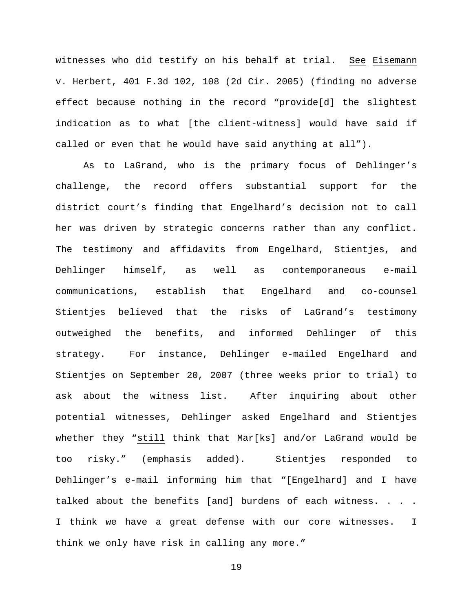witnesses who did testify on his behalf at trial. See Eisemann v. Herbert, 401 F.3d 102, 108 (2d Cir. 2005) (finding no adverse effect because nothing in the record "provide[d] the slightest indication as to what [the client-witness] would have said if called or even that he would have said anything at all").

As to LaGrand, who is the primary focus of Dehlinger's challenge, the record offers substantial support for the district court's finding that Engelhard's decision not to call her was driven by strategic concerns rather than any conflict. The testimony and affidavits from Engelhard, Stientjes, and Dehlinger himself, as well as contemporaneous e-mail communications, establish that Engelhard and co-counsel Stientjes believed that the risks of LaGrand's testimony outweighed the benefits, and informed Dehlinger of this strategy. For instance, Dehlinger e-mailed Engelhard and Stientjes on September 20, 2007 (three weeks prior to trial) to ask about the witness list. After inquiring about other potential witnesses, Dehlinger asked Engelhard and Stientjes whether they "still think that Mar[ks] and/or LaGrand would be too risky." (emphasis added). Stientjes responded to Dehlinger's e-mail informing him that "[Engelhard] and I have talked about the benefits [and] burdens of each witness. . . . I think we have a great defense with our core witnesses. I think we only have risk in calling any more."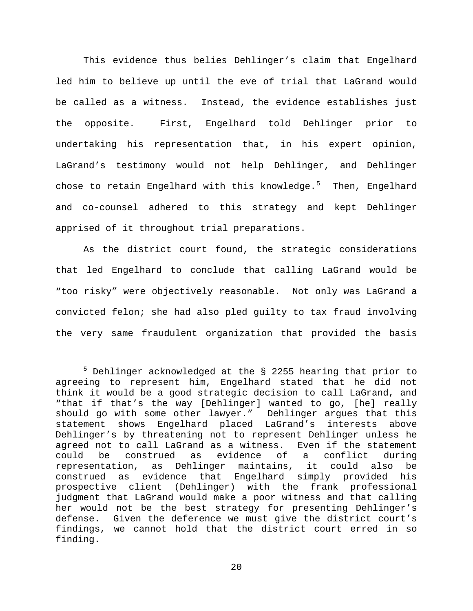This evidence thus belies Dehlinger's claim that Engelhard led him to believe up until the eve of trial that LaGrand would be called as a witness. Instead, the evidence establishes just the opposite. First, Engelhard told Dehlinger prior to undertaking his representation that, in his expert opinion, LaGrand's testimony would not help Dehlinger, and Dehlinger chose to retain Engelhard with this knowledge.<sup>[5](#page-19-0)</sup> Then, Engelhard and co-counsel adhered to this strategy and kept Dehlinger apprised of it throughout trial preparations.

As the district court found, the strategic considerations that led Engelhard to conclude that calling LaGrand would be "too risky" were objectively reasonable. Not only was LaGrand a convicted felon; she had also pled guilty to tax fraud involving the very same fraudulent organization that provided the basis

<span id="page-19-0"></span><sup>&</sup>lt;sup>5</sup> Dehlinger acknowledged at the § 2255 hearing that prior to agreeing to represent him, Engelhard stated that he did not think it would be a good strategic decision to call LaGrand, and "that if that's the way [Dehlinger] wanted to go, [he] really should go with some other lawyer." Dehlinger argues that this statement shows Engelhard placed LaGrand's interests above Dehlinger's by threatening not to represent Dehlinger unless he agreed not to call LaGrand as a witness. Even if the statement could be construed as evidence of a conflict during<br>representation, as Dehlinger maintains, it could also be representation, as Dehlinger maintains, it could also be construed as evidence that Engelhard simply provided his prospective client (Dehlinger) with the frank professional judgment that LaGrand would make a poor witness and that calling her would not be the best strategy for presenting Dehlinger's defense. Given the deference we must give the district court's findings, we cannot hold that the district court erred in so finding.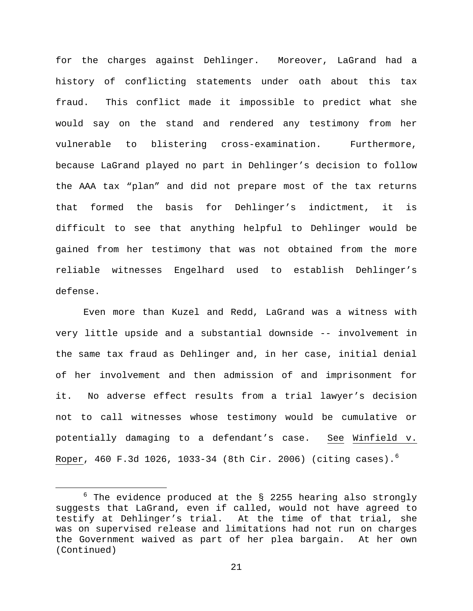for the charges against Dehlinger. Moreover, LaGrand had a history of conflicting statements under oath about this tax fraud. This conflict made it impossible to predict what she would say on the stand and rendered any testimony from her vulnerable to blistering cross-examination. Furthermore, because LaGrand played no part in Dehlinger's decision to follow the AAA tax "plan" and did not prepare most of the tax returns that formed the basis for Dehlinger's indictment, it is difficult to see that anything helpful to Dehlinger would be gained from her testimony that was not obtained from the more reliable witnesses Engelhard used to establish Dehlinger's defense.

Even more than Kuzel and Redd, LaGrand was a witness with very little upside and a substantial downside -- involvement in the same tax fraud as Dehlinger and, in her case, initial denial of her involvement and then admission of and imprisonment for it. No adverse effect results from a trial lawyer's decision not to call witnesses whose testimony would be cumulative or potentially damaging to a defendant's case. See Winfield v. Roper, 4[6](#page-20-0)0 F.3d 1026, 1033-34 (8th Cir. 2006) (citing cases).<sup>6</sup>

<span id="page-20-0"></span> $6$  The evidence produced at the § 2255 hearing also strongly suggests that LaGrand, even if called, would not have agreed to testify at Dehlinger's trial. At the time of that trial, she was on supervised release and limitations had not run on charges the Government waived as part of her plea bargain. At her own (Continued)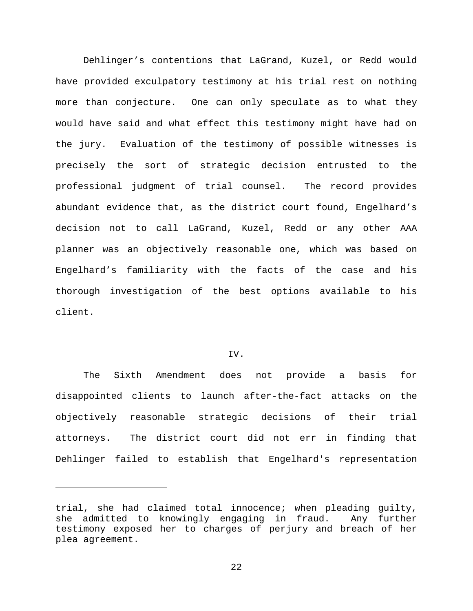Dehlinger's contentions that LaGrand, Kuzel, or Redd would have provided exculpatory testimony at his trial rest on nothing more than conjecture. One can only speculate as to what they would have said and what effect this testimony might have had on the jury. Evaluation of the testimony of possible witnesses is precisely the sort of strategic decision entrusted to the professional judgment of trial counsel. The record provides abundant evidence that, as the district court found, Engelhard's decision not to call LaGrand, Kuzel, Redd or any other AAA planner was an objectively reasonable one, which was based on Engelhard's familiarity with the facts of the case and his thorough investigation of the best options available to his client.

### IV.

The Sixth Amendment does not provide a basis for disappointed clients to launch after-the-fact attacks on the objectively reasonable strategic decisions of their trial attorneys. The district court did not err in finding that Dehlinger failed to establish that Engelhard's representation

Ĩ.

trial, she had claimed total innocence; when pleading guilty,<br>she admitted to knowingly engaging in fraud. Any further she admitted to knowingly engaging in fraud. testimony exposed her to charges of perjury and breach of her plea agreement.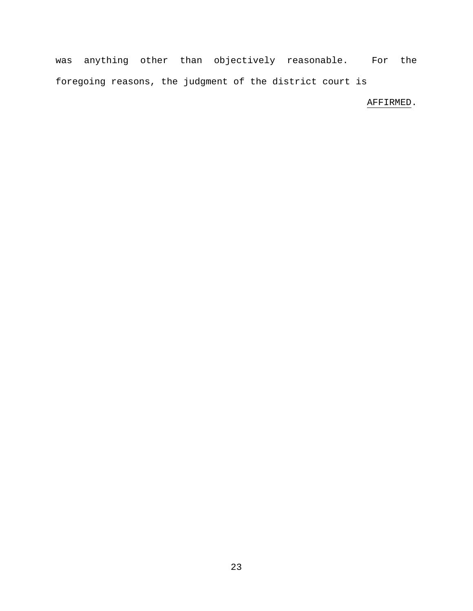was anything other than objectively reasonable. For the foregoing reasons, the judgment of the district court is

# AFFIRMED.